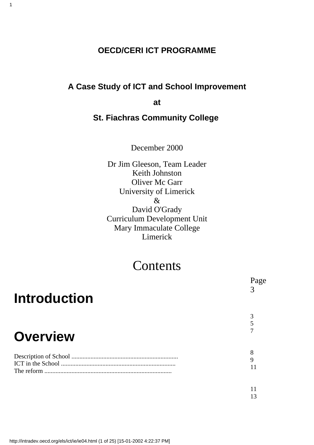## **OECD/CERI ICT PROGRAMME**

1

## **A Case Study of ICT and School Improvement**

**at**

### **St. Fiachras Community College**

December 2000

Dr Jim Gleeson, Team Leader Keith Johnston Oliver Mc Garr University of Limerick & David O'Grady Curriculum Development Unit Mary Immaculate College Limerick

# **Contents**

| <b>Introduction</b> | Page        |
|---------------------|-------------|
|                     |             |
| <b>Overview</b>     | 5           |
|                     | 8           |
| The reform          | 9           |
|                     | $1^{\circ}$ |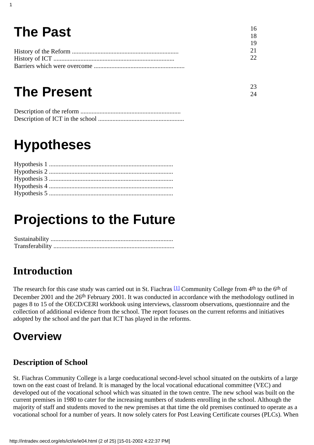#### **The Past** History of the Reform ................................................................... History of ICT ............................................................................ Barriers which were overcome ......................................................... 16 18 19 21 22

23 24

# **The Present**

1

# **Hypotheses**

# **Projections to the Future**

Sustainability ............................................................................. Transferability ............................................................................

# **Introduction**

<span id="page-1-0"></span>The research for this case study was carried out in St. Fiachra s<sup>[1]</sup> Community College from 4<sup>th</sup> to the 6<sup>th</sup> of December 2001 and the 26<sup>th</sup> February 2001. It was conducted in accordance with the methodology outlined in pages 8 to 15 of the OECD/CERI workbook using interviews, classroom observations, questionnaire and the collection of additional evidence from the school. The report focuses on the current reforms and initiatives adopted by the school and the part that ICT has played in the reforms.

# **Overview**

## **Description of School**

St. Fiachras Community College is a large coeducational second-level school situated on the outskirts of a large town on the east coast of Ireland. It is managed by the local vocational educational committee (VEC) and developed out of the vocational school which was situated in the town centre. The new school was built on the current premises in 1980 to cater for the increasing numbers of students enrolling in the school. Although the majority of staff and students moved to the new premises at that time the old premises continued to operate as a vocational school for a number of years. It now solely caters for Post Leaving Certificate courses (PLCs). When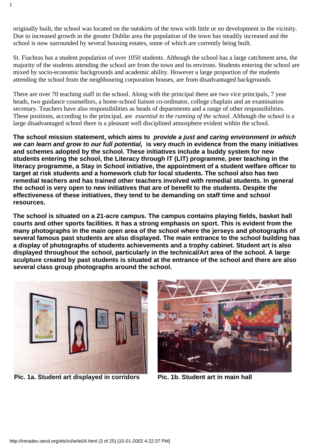originally built, the school was located on the outskirts of the town with little or no development in the vicinity. Due to increased growth in the greater Dublin area the population of the town has steadily increased and the school is now surrounded by several housing estates, some of which are currently being built.

St. Fiachras has a student population of over 1050 students. Although the school has a large catchment area, the majority of the students attending the school are from the town and its environs. Students entering the school are mixed by socio-economic backgrounds and academic ability. However a large proportion of the students attending the school from the neighbouring corporation houses, are from disadvantaged backgrounds.

There are over 70 teaching staff in the school. Along with the principal there are two vice principals, 7 year heads, two guidance counsellors, a home-school liaison co-ordinator, college chaplain and an examination secretary. Teachers have also responsibilities as heads of departments and a range of other responsibilities. These positions, according to the principal, are *essential to the running of the school*. Although the school is a large disadvantaged school there is a pleasant well disciplined atmosphere evident within the school.

**The school mission statement, which aims to provide a just and caring environment in which we can learn and grow to our full potential, is very much in evidence from the many initiatives and schemes adopted by the school. These initiatives include a buddy system for new students entering the school, the Literacy through IT (LIT) programme, peer teaching in the literacy programme, a Stay in School initiative, the appointment of a student welfare officer to target at risk students and a homework club for local students. The school also has two remedial teachers and has trained other teachers involved with remedial students. In general the school is very open to new initiatives that are of benefit to the students. Despite the effectiveness of these initiatives, they tend to be demanding on staff time and school resources.**

**The school is situated on a 21-acre campus. The campus contains playing fields, basket ball courts and other sports facilities. It has a strong emphasis on sport. This is evident from the many photographs in the main open area of the school where the jerseys and photographs of several famous past students are also displayed. The main entrance to the school building has** a display of photographs of student s achievements and a trophy cabinet. Student art is also **displayed throughout the school, particularly in the technical/Art area of the school. A large sculpture created by past students is situated at the entrance of the school and there are also several class group photographs around the school.**



**Pic. 1a. Student art displayed in corridors Pic. 1b. Student art in main hall**

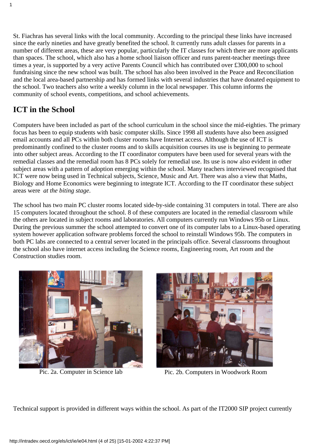St. Fiachras has several links with the local community. According to the principal these links have increased since the early nineties and have greatly benefited the school. It currently runs adult classes for parents in a number of different areas, these are very popular, particularly the IT classes for which there are more applicants than spaces. The school, which also has a home school liaison officer and runs parent-teacher meetings three times a year, is supported by a very active Parents Council which has contributed over £300,000 to school fundraising since the new school was built. The school has also been involved in the Peace and Reconciliation and the local area-based partnership and has formed links with several industries that have donated equipment to the school. Two teachers also write a weekly column in the local newspaper. This column informs the community of school events, competitions, and school achievements.

## **ICT in the School**

1

Computers have been included as part of the school curriculum in the school since the mid-eighties. The primary focus has been to equip students with basic computer skills. Since 1998 all students have also been assigned email accounts and all PCs within both cluster rooms have Internet access. Although the use of ICT is predominantly confined to the cluster rooms and to skills acquisition courses its use is beginning to permeate into other subject areas. According to the IT coordinator computers have been used for several years with the remedial classes and the remedial room has 8 PCs solely for remedial use. Its use is now also evident in other subject areas with a pattern of adoption emerging within the school. Many teachers interviewed recognised that ICT were now being used in Technical subjects, Science, Music and Art. There was also a view that Maths, Biology and Home Economics were beginning to integrate ICT. According to the IT coordinator these subject areas were *at the biting stage*.

The school has two main PC cluster rooms located side-by-side containing 31 computers in total. There are also 15 computers located throughout the school. 8 of these computers are located in the remedial classroom while the others are located in subject rooms and laboratories. All computers currently run Windows 95b or Linux. During the previous summer the school attempted to convert one of its computer labs to a Linux-based operating system however application software problems forced the school to reinstall Windows 95b. The computers in both PC labs are connected to a central server located in the principals office. Several classrooms throughout the school also have internet access including the Science rooms, Engineering room, Art room and the Construction studies room.





Pic. 2a. Computer in Science lab Pic. 2b. Computers in Woodwork Room

Technical support is provided in different ways within the school. As part of the IT2000 SIP project currently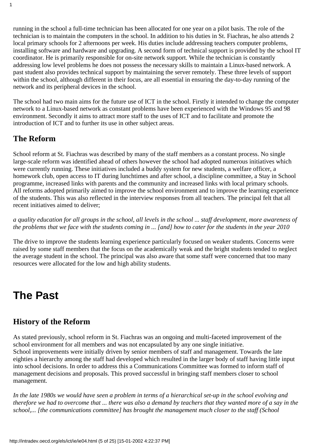running in the school a full-time technician has been allocated for one year on a pilot basis. The role of the technician is to maintain the computers in the school. In addition to his duties in St. Fiachras, he also attends 2 local primary schools for 2 afternoons per week. His duties include addressing teacher s computer problems, installing software and hardware and upgrading. A second form of technical support is provided by the school IT coordinator. He is primarily responsible for on-site network support. While the technician is constantly addressing low level problems he does not possess the necessary skills to maintain a Linux-based network. A past student also provides technical support by maintaining the server remotely. These three levels of support within the school, although different in their focus, are all essential in ensuring the day-to-day running of the network and its peripheral devices in the school.

The school had two main aims for the future use of ICT in the school. Firstly it intended to change the computer network to a Linux-based network as constant problems have been experienced with the Windows 95 and 98 environment. Secondly it aims to attract more staff to the uses of ICT and to facilitate and promote the introduction of ICT and to further its use in other subject areas.

### **The Reform**

1

School reform at St. Fiachra s was described by many of the staff members as a constant process. No single large-scale reform was identified ahead of others however the school had adopted numerous initiatives which were currently running. These initiatives included a buddy system for new students, a welfare officer, a homework club, open access to IT during lunchtimes and after school, a discipline committee, a Stay in School programme, increased links with parents and the community and increased links with local primary schools. All reforms adopted primarily aimed to improve the school environment and to improve the learning experience of the students. This was also reflected in the interview responses from all teachers. The principal felt that all recent initiatives aimed to deliver;

*a quality education for all groups in the school, all levels in the school ... staff development, more awareness of the problems that we face with the students coming in ... [and] how to cater for the students in the year 2010*

The drive to improve the students learning experience particularly focused on weaker students. Concerns were raised by some staff members that the focus on the academically weak and the bright students tended to neglect the average student in the school. The principal was also aware that some staff were concerned that too many resources were allocated for the low and high ability students.

# **The Past**

### **History of the Reform**

As stated previously, school reform in St. Fiachra s was an ongoing and multi-faceted improvement of the school environment for all members and was not encapsulated by any one single initiative. School improvements were initially driven by senior members of staff and management. Towards the late eighties a hierarchy among the staff had developed which resulted in the larger body of staff having little input into school decisions. In order to address this a Communications Committee was formed to inform staff of management decisions and proposals. This proved successful in bringing staff members closer to school management.

*In the late 1980s we would have seen a problem in terms of a hierarchical set-up in the school evolving and therefore we had to overcome that ... there was also a demand by teachers that they wanted more of a say in the school,... [the communications committee] has brought the management much closer to the staff (School*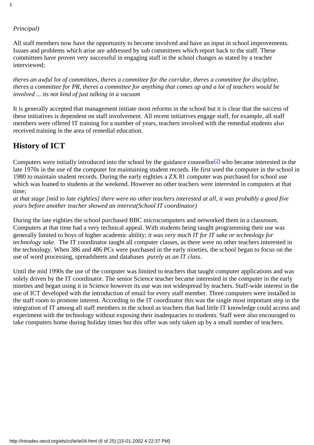### *Principal)*

1

All staff members now have the opportunity to become involved and have an input in school improvements. Issues and problems which arise are addressed by sub committees which report back to the staff. These committees have proven very successful in engaging staff in the school changes as stated by a teacher interviewed;

*theres an awful lot of committees, theres a committee for the corridor, theres a committee for discipline, there s a committee for PR, there s a committee for anything that comes up and a lot of teachers would be involved ... its not kind of just talking in a vacuum*

It is generally accepted that management initiate most reforms in the school but it is clear that the success of these initiatives is dependent on staff involvement. All recent initiatives engage staff, for example, all staff members were offered IT training for a number of years, teachers involved with the remedial students also received training in the area of remedial education.

### **History of ICT**

<span id="page-5-0"></span>Computers were initially introduced into the school by the guidance counsellor<sup>[2]</sup> who became interested in the late 1970s in the use of the computer for maintaining student records. He first used the computer in the school in 1980 to maintain student records. During the early eighties a ZX 81 computer was purchased for school use which was loaned to students at the weekend. However no other teachers were interested in computers at that time;

*at that stage [mid to late eighties] there were no other teachers interested at all, it was probably a good five years before another teacher showed an interest(School IT coordinator)*

During the late eighties the school purchased BBC microcomputers and networked them in a classroom. Computers at that time had a very technical appeal. With students being taught programming their use was generally limited to boys of higher academic ability; *it was very much IT for IT sake or technology for technology sake.* The IT coordinator taught all computer classes, as there were no other teachers interested in the technology. When 386 and 486 PCs were purchased in the early nineties, the school began to focus on the use of word processing, spreadsheets and databases *purely as an IT class*.

Until the mid 1990s the use of the computer was limited to teachers that taught computer applications and was solely driven by the IT coordinator. The senior Science teacher became interested in the computer in the early nineties and began using it in Science however its use was not widespread by teachers. Staff-wide interest in the use of ICT developed with the introduction of email for every staff member. Three computers were installed in the staff room to promote interest. According to the IT coordinator this was the single most important step in the integration of IT among all staff members in the school as teachers that had little IT knowledge could access and experiment with the technology without exposing their inadequacies to students. Staff were also encouraged to take computers home during holiday times but this offer was only taken up by a small number of teachers.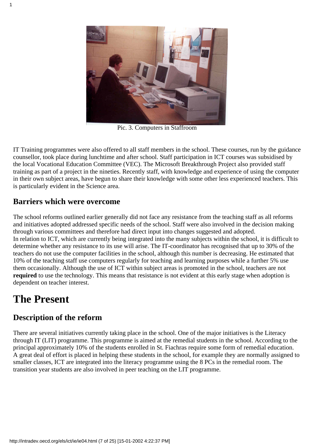

Pic. 3. Computers in Staffroom

IT Training programmes were also offered to all staff members in the school. These courses, run by the guidance counsellor, took place during lunchtime and after school. Staff participation in ICT courses was subsidised by the local Vocational Education Committee (VEC). The Microsoft Breakthrough Project also provided staff training as part of a project in the nineties. Recently staff, with knowledge and experience of using the computer in their own subject areas, have begun to share their knowledge with some other less experienced teachers. This is particularly evident in the Science area.

### **Barriers which were overcome**

The school reforms outlined earlier generally did not face any resistance from the teaching staff as all reforms and initiatives adopted addressed specific needs of the school. Staff were also involved in the decision making through various committees and therefore had direct input into changes suggested and adopted. In relation to ICT, which are currently being integrated into the many subjects within the school, it is difficult to determine whether any resistance to its use will arise. The IT-coordinator has recognised that up to 30% of the teachers do not use the computer facilities in the school, although this number is decreasing. He estimated that 10% of the teaching staff use computers regularly for teaching and learning purposes while a further 5% use them occasionally. Although the use of ICT within subject areas is promoted in the school, teachers are not **required** to use the technology. This means that resistance is not evident at this early stage when adoption is dependent on teacher interest.

## **The Present**

### **Description of the reform**

There are several initiatives currently taking place in the school. One of the major initiatives is the Literacy through IT (LIT) programme. This programme is aimed at the remedial students in the school. According to the principal approximately 10% of the students enrolled in St. Fiachra s require some form of remedial education. A great deal of effort is placed in helping these students in the school, for example they are normally assigned to smaller classes, ICT are integrated into the literacy programme using the 8 PCs in the remedial room. The transition year students are also involved in peer teaching on the LIT programme.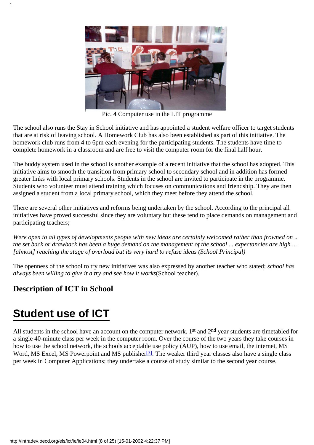

Pic. 4 Computer use in the LIT programme

The school also runs the Stay in School initiative and has appointed a student welfare officer to target students that are at risk of leaving school. A Homework Club has also been established as part of this initiative. The homework club runs from 4 to 6pm each evening for the participating students. The students have time to complete homework in a classroom and are free to visit the computer room for the final half hour.

The buddy system used in the school is another example of a recent initiative that the school has adopted. This initiative aims to smooth the transition from primary school to secondary school and in addition has formed greater links with local primary schools. Students in the school are invited to participate in the programme. Students who volunteer must attend training which focuses on communications and friendship. They are then assigned a student from a local primary school, which they meet before they attend the school.

There are several other initiatives and reforms being undertaken by the school. According to the principal all initiatives have proved successful since they are voluntary but these tend to place demands on management and participating teachers;

*Were open to all types of developments people with new ideas are certainly welcomed rather than frowned on .. the set back or drawback has been a huge demand on the management of the school ... expectancies are high ... [almost] reaching the stage of overload but its very hard to refuse ideas (School Principal)*

The openness of the school to try new initiatives was also expressed by another teacher who stated; *school has always been willing to give it a try and see how it works*(School teacher).

### **Description of ICT in School**

# **Student use of ICT**

<span id="page-7-0"></span>All students in the school have an account on the computer network. 1<sup>st</sup> and 2<sup>nd</sup> year students are timetabled for a single 40-minute class per week in the computer room. Over the course of the two years they take courses in how to use the school network, the school s acceptable use policy (AUP), how to use email, the internet, MS Word, MS Excel, MS Powerpoint and MS publisher<sup>[3]</sup>. The weaker third year classes also have a single class per week in Computer Applications; they undertake a course of study similar to the second year course.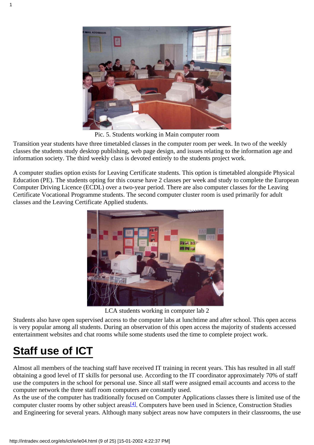

Pic. 5. Students working in Main computer room

Transition year students have three timetabled classes in the computer room per week. In two of the weekly classes the students study desktop publishing, web page design, and issues relating to the information age and information society. The third weekly class is devoted entirely to the students project work.

A computer studies option exists for Leaving Certificate students. This option is timetabled alongside Physical Education (PE). The students opting for this course have 2 classes per week and study to complete the European Computer Driving Licence (ECDL) over a two-year period. There are also computer classes for the Leaving Certificate Vocational Programme students. The second computer cluster room is used primarily for adult classes and the Leaving Certificate Applied students.



LCA students working in computer lab 2

Students also have open supervised access to the computer labs at lunchtime and after school. This open access is very popular among all students. During an observation of this open access the majority of students accessed entertainment websites and chat rooms while some students used the time to complete project work.

# **Staff use of ICT**

Almost all members of the teaching staff have received IT training in recent years. This has resulted in all staff obtaining a good level of IT skills for personal use. According to the IT coordinator approximately 70% of staff use the computers in the school for personal use. Since all staff were assigned email accounts and access to the computer network the three staff room computers are constantly used.

<span id="page-8-0"></span>As the use of the computer has traditionally focused on Computer Applications classes there is limited use of the computer cluster rooms by other subject areas<sup>[4]</sup>. Computers have been used in Science, Construction Studies and Engineering for several years. Although many subject areas now have computers in their classrooms, the use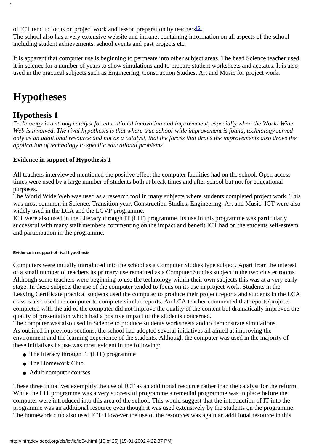<span id="page-9-0"></span>of ICT tend to focus on project work and lesson preparation by teachers<sup>[5]</sup>.

The school also has a very extensive website and intranet containing information on all aspects of the school including student achievements, school events and past projects etc.

It is apparent that computer use is beginning to permeate into other subject areas. The head Science teacher used it in science for a number of years to show simulations and to prepare student worksheets and acetates. It is also used in the practical subjects such as Engineering, Construction Studies, Art and Music for project work.

## **Hypotheses**

### **Hypothesis 1**

1

*Technology is a strong catalyst for educational innovation and improvement, especially when the World Wide Web is involved. The rival hypothesis is that where true school-wide improvement is found, technology served only as an additional resource and not as a catalyst, that the forces that drove the improvements also drove the application of technology to specific educational problems.*

### **Evidence in support of Hypothesis 1**

All teachers interviewed mentioned the positive effect the computer facilities had on the school. Open access times were used by a large number of students both at break times and after school but not for educational purposes.

The World Wide Web was used as a research tool in many subjects where students completed project work. This was most common in Science, Transition year, Construction Studies, Engineering, Art and Music. ICT were also widely used in the LCA and the LCVP programme.

ICT were also used in the Literacy through IT (LIT) programme. Its use in this programme was particularly successful with many staff members commenting on the impact and benefit ICT had on the students self-esteem and participation in the programme.

#### **Evidence in support of rival hypothesis**

Computers were initially introduced into the school as a Computer Studies type subject. Apart from the interest of a small number of teachers its primary use remained as a Computer Studies subject in the two cluster rooms. Although some teachers were beginning to use the technology within their own subjects this was at a very early stage. In these subjects the use of the computer tended to focus on its use in project work. Students in the Leaving Certificate practical subjects used the computer to produce their project reports and students in the LCA classes also used the computer to complete similar reports. An LCA teacher commented that reports/projects completed with the aid of the computer did not improve the quality of the content but dramatically improved the quality of presentation which had a positive impact of the students concerned.

The computer was also used in Science to produce students worksheets and to demonstrate simulations. As outlined in previous sections, the school had adopted several initiatives all aimed at improving the environment and the learning experience of the students. Although the computer was used in the majority of these initiatives its use was most evident in the following:

- The literacy through IT (LIT) programme
- The Homework Club.
- Adult computer courses

These three initiatives exemplify the use of ICT as an additional resource rather than the catalyst for the reform. While the LIT programme was a very successful programme a remedial programme was in place before the computer were introduced into this area of the school. This would suggest that the introduction of IT into the programme was an additional resource even though it was used extensively by the students on the programme. The homework club also used ICT; However the use of the resources was again an additional resource in this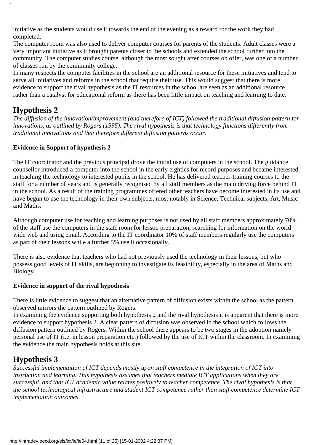initiative as the students would use it towards the end of the evening as a reward for the work they had completed.

The computer room was also used to deliver computer courses for parents of the students. Adult classes were a very important initiative as it brought parents closer to the schools and extended the school further into the community. The computer studies course, although the most sought after courses on offer, was one of a number of classes run by the community college.

In many respects the computer facilities in the school are an additional resource for these initiatives and tend to serve all initiatives and reforms in the school that require their use. This would suggest that there is more evidence to support the rival hypothesis as the IT resources in the school are seen as an additional resource rather than a catalyst for educational reform as there has been little impact on teaching and learning to date.

### **Hypothesis 2**

1

*The diffusion of the innovation/improvement (and therefore of ICT) followed the traditional diffusion pattern for innovations, as outlined by Rogers (1995). The rival hypothesis is that technology functions differently from traditional innovations and that therefore different diffusion patterns occur.*

### **Evidence in Support of hypothesis 2**

The IT coordinator and the previous principal drove the initial use of computers in the school. The guidance counsellor introduced a computer into the school in the early eighties for record purposes and became interested in teaching the technology to interested pupils in the school. He has delivered teacher-training courses to the staff for a number of years and is generally recognised by all staff members as the main driving force behind IT in the school. As a result of the training programmes offered other teachers have become interested in its use and have begun to use the technology in their own subjects, most notably in Science, Technical subjects, Art, Music and Maths.

Although computer use for teaching and learning purposes is not used by all staff members approximately 70% of the staff use the computers in the staff room for lesson preparation, searching for information on the world wide web and using email. According to the IT coordinator 10% of staff members regularly use the computers as part of their lessons while a further 5% use it occasionally.

There is also evidence that teachers who had not previously used the technology in their lessons, but who possess good levels of IT skills, are beginning to investigate its feasibility, especially in the area of Maths and Biology.

### **Evidence in support of the rival hypothesis**

There is little evidence to suggest that an alternative pattern of diffusion exists within the school as the pattern observed mirrors the pattern outlined by Rogers.

In examining the evidence supporting both hypothesis 2 and the rival hypothesis it is apparent that there is more evidence to support hypothesis 2. A clear pattern of diffusion was observed in the school which follows the diffusion pattern outlined by Rogers. Within the school there appears to be two stages in the adoption namely personal use of IT (i.e. in lesson preparation etc.) followed by the use of ICT within the classroom. In examining the evidence the main hypothesis holds at this site.

### **Hypothesis 3**

*Successful implementation of ICT depends mostly upon staff competence in the integration of ICT into instruction and learning. This hypothesis assumes that teachers mediate ICT applications when they are successful, and that ICT academic value relates positively to teacher competence. The rival hypothesis is that the school technological infrastructure and student ICT competence rather than staff competence determine ICT implementation outcomes.*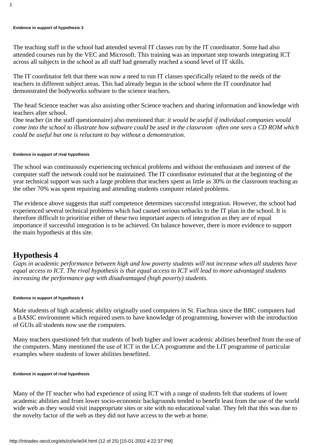#### **Evidence in support of hypothesis 3**

The teaching staff in the school had attended several IT classes run by the IT coordinator. Some had also attended courses run by the VEC and Microsoft. This training was an important step towards integrating ICT across all subjects in the school as all staff had generally reached a sound level of IT skills.

The IT coordinator felt that there was now a need to run IT classes specifically related to the needs of the teachers in different subject areas. This had already begun in the school where the IT coordinator had demonstrated the bodyworks software to the science teachers.

The head Science teacher was also assisting other Science teachers and sharing information and knowledge with teachers after school.

One teacher (in the staff questionnaire) also mentioned that: *it would be useful if individual companies would come into the school to illustrate how software could be used in the classroom often one sees a CD ROM which could be useful but one is reluctant to buy without a demonstration.*

#### **Evidence in support of rival hypothesis**

The school was continuously experiencing technical problems and without the enthusiasm and interest of the computer staff the network could not be maintained. The IT coordinator estimated that at the beginning of the year technical support was such a large problem that teachers spent as little as 30% in the classroom teaching as the other 70% was spent repairing and attending students computer related problems.

The evidence above suggests that staff competence determines successful integration. However, the school had experienced several technical problems which had caused serious setbacks to the IT plan in the school. It is therefore difficult to prioritise either of these two important aspects of integration as they are of equal importance if successful integration is to be achieved. On balance however, there is more evidence to support the main hypothesis at this site.

### **Hypothesis 4**

*Gaps in academic performance between high and low poverty students will not increase when all students have equal access to ICT. The rival hypothesis is that equal access to ICT will lead to more advantaged students increasing the performance gap with disadvantaged (high poverty) students.*

#### **Evidence in support of hypothesis 4**

Male students of high academic ability originally used computers in St. Fiachra s since the BBC computers had a BASIC environment which required users to have knowledge of programming, however with the introduction of GUIs all students now use the computers.

Many teachers questioned felt that students of both higher and lower academic abilities benefited from the use of the computers. Many mentioned the use of ICT in the LCA programme and the LIT programme of particular examples where students of lower abilities benefitted.

#### **Evidence in support of rival hypothesis**

Many of the IT teacher who had experience of using ICT with a range of students felt that students of lower academic abilities and from lower socio-economic backgrounds tended to benefit least from the use of the world wide web as they would visit inappropriate sites or site with no educational value. They felt that this was due to the novelty factor of the web as they did not have access to the web at home.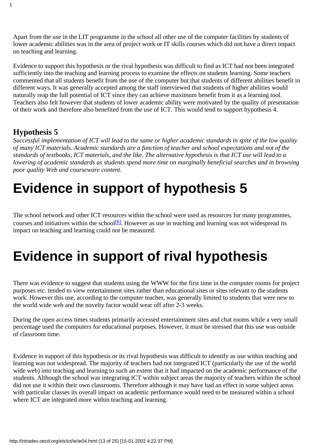Apart from the use in the LIT programme in the school all other use of the computer facilities by students of lower academic abilities was in the area of project work or IT skills courses which did not have a direct impact on teaching and learning.

Evidence to support this hypothesis or the rival hypothesis was difficult to find as ICT had not been integrated sufficiently into the teaching and learning process to examine the effects on students learning. Some teachers commented that all students benefit from the use of the computer but that students of different abilities benefit in different ways. It was generally accepted among the staff interviewed that students of higher abilities would naturally reap the full potential of ICT since they can achieve maximum benefit from it as a learning tool. Teachers also felt however that students of lower academic ability were motivated by the quality of presentation of their work and therefore also benefited from the use of ICT. This would tend to support hypothesis 4.

### **Hypothesis 5**

1

*Successful implementation of ICT will lead to the same or higher academic standards in spite of the low quality of many ICT materials. Academic standards are a function of teacher and school expectations and not of the standards of textbooks, ICT materials, and the like. The alternative hypothesis is that ICT use will lead to a lowering of academic standards as students spend more time on marginally beneficial searches and in browsing poor quality Web and courseware content.*

# **Evidence in support of hypothesis 5**

<span id="page-12-0"></span>The school network and other ICT resources within the school were used as resources for many programmes, courses and initiatives within the school<sup>[6]</sup>. However as use in teaching and learning was not widespread its impact on teaching and learning could not be measured.

# **Evidence in support of rival hypothesis**

There was evidence to suggest that students using the WWW for the first time in the computer rooms for project purposes etc. tended to view entertainment sites rather than educational sites or sites relevant to the student s work. However this use, according to the computer teacher, was generally limited to students that were new to the world wide web and the novelty factor would wear off after 2-3 weeks.

During the open access times students primarily accessed entertainment sites and chat rooms while a very small percentage used the computers for educational purposes. However, it must be stressed that this use was outside of classroom time.

Evidence in support of this hypothesis or its rival hypothesis was difficult to identify as use within teaching and learning was not widespread. The majority of teachers had not integrated ICT (particularly the use of the world wide web) into teaching and learning to such an extent that it had impacted on the academic performance of the students. Although the school was integrating ICT within subject areas the majority of teachers within the school did not use it within their own classrooms. Therefore although it may have had an effect in some subject areas with particular classes its overall impact on academic performance would need to be measured within a school where ICT are integrated more within teaching and learning.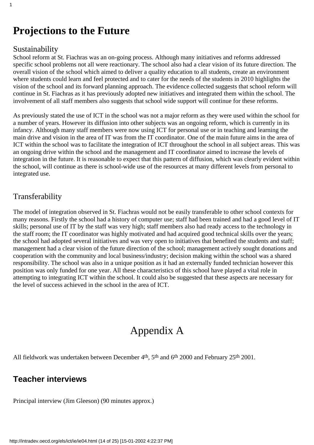## **Projections to the Future**

### Sustainability

1

School reform at St. Fiachra s was an on-going process. Although many initiatives and reforms addressed specific school problems not all were reactionary. The school also had a clear vision of its future direction. The overall vision of the school which aimed to deliver a quality education to all students, create an environment where students could learn and feel protected and to cater for the needs of the students in 2010 highlights the vision of the school and its forward planning approach. The evidence collected suggests that school reform will continue in St. Fiachras as it has previously adopted new initiatives and integrated them within the school. The involvement of all staff members also suggests that school wide support will continue for these reforms.

As previously stated the use of ICT in the school was not a major reform as they were used within the school for a number of years. However its diffusion into other subjects was an ongoing reform, which is currently in its infancy. Although many staff members were now using ICT for personal use or in teaching and learning the main drive and vision in the area of IT was from the IT coordinator. One of the main future aims in the area of ICT within the school was to facilitate the integration of ICT throughout the school in all subject areas. This was an ongoing drive within the school and the management and IT coordinator aimed to increase the levels of integration in the future. It is reasonable to expect that this pattern of diffusion, which was clearly evident within the school, will continue as there is school-wide use of the resources at many different levels from personal to integrated use.

### Transferability

The model of integration observed in St. Fiachras would not be easily transferable to other school contexts for many reasons. Firstly the school had a history of computer use; staff had been trained and had a good level of IT skills; personal use of IT by the staff was very high; staff members also had ready access to the technology in the staff room; the IT coordinator was highly motivated and had acquired good technical skills over the years; the school had adopted several initiatives and was very open to initiatives that benefited the students and staff; management had a clear vision of the future direction of the school; management actively sought donations and cooperation with the community and local business/industry; decision making within the school was a shared responsibility. The school was also in a unique position as it had an externally funded technician however this position was only funded for one year. All these characteristics of this school have played a vital role in attempting to integrating ICT within the school. It could also be suggested that these aspects are necessary for the level of success achieved in the school in the area of ICT.

# Appendix A

All fieldwork was undertaken between December 4<sup>th</sup>, 5<sup>th</sup> and 6<sup>th</sup> 2000 and February 25<sup>th</sup> 2001.

### **Teacher interviews**

Principal interview (Jim Gleeson) (90 minutes approx.)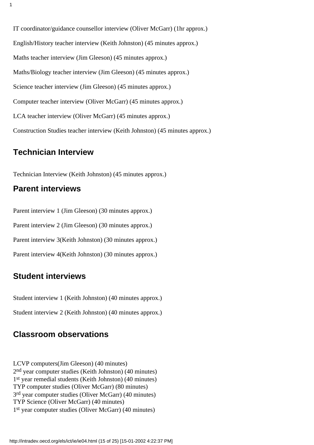IT coordinator/guidance counsellor interview (Oliver McGarr) (1hr approx.) English/History teacher interview (Keith Johnston) (45 minutes approx.) Maths teacher interview (Jim Gleeson) (45 minutes approx.) Maths/Biology teacher interview (Jim Gleeson) (45 minutes approx.) Science teacher interview (Jim Gleeson) (45 minutes approx.) Computer teacher interview (Oliver McGarr) (45 minutes approx.) LCA teacher interview (Oliver McGarr) (45 minutes approx.) Construction Studies teacher interview (Keith Johnston) (45 minutes approx.)

### **Technician Interview**

Technician Interview (Keith Johnston) (45 minutes approx.)

### **Parent interviews**

Parent interview 1 (Jim Gleeson) (30 minutes approx.) Parent interview 2 (Jim Gleeson) (30 minutes approx.) Parent interview 3(Keith Johnston) (30 minutes approx.)

Parent interview 4(Keith Johnston) (30 minutes approx.)

### **Student interviews**

Student interview 1 (Keith Johnston) (40 minutes approx.)

Student interview 2 (Keith Johnston) (40 minutes approx.)

### **Classroom observations**

LCVP computers(Jim Gleeson) (40 minutes) 2nd year computer studies (Keith Johnston) (40 minutes) 1st year remedial students (Keith Johnston) (40 minutes) TYP computer studies (Oliver McGarr) (80 minutes) 3rd year computer studies (Oliver McGarr) (40 minutes) TYP Science (Oliver McGarr) (40 minutes) 1st year computer studies (Oliver McGarr) (40 minutes)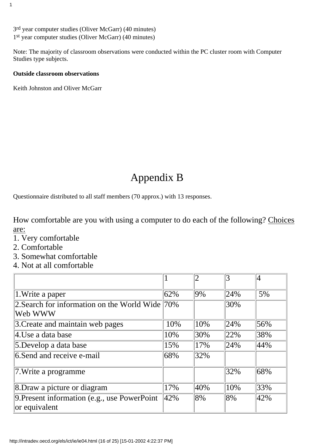3rd year computer studies (Oliver McGarr) (40 minutes) 1st year computer studies (Oliver McGarr) (40 minutes)

Note: The majority of classroom observations were conducted within the PC cluster room with Computer Studies type subjects.

### **Outside classroom observations**

Keith Johnston and Oliver McGarr

# Appendix B

Questionnaire distributed to all staff members (70 approx.) with 13 responses.

How comfortable are you with using a computer to do each of the following? Choices are:

- 1. Very comfortable
- 2. Comfortable
- 3. Somewhat comfortable
- 4. Not at all comfortable

|                                                                |     |        | 3   |     |
|----------------------------------------------------------------|-----|--------|-----|-----|
| $\vert$ 1. Write a paper                                       | 62% | $ 9\%$ | 24% | 5%  |
| 2. Search for information on the World Wide 70%<br> Web WWW    |     |        | 30% |     |
| 3. Create and maintain web pages                               | 10% | 10%    | 24% | 56% |
| 4.Use a data base                                              | 10% | 30%    | 22% | 38% |
| 5. Develop a data base                                         | 15% | 17%    | 24% | 44% |
| 6. Send and receive e-mail                                     | 68% | 32%    |     |     |
| 7. Write a programme                                           |     |        | 32% | 68% |
| 8. Draw a picture or diagram                                   | 17% | 40%    | 10% | 33% |
| 9. Present information (e.g., use PowerPoint)<br>or equivalent | 42% | 8%     | 8%  | 42% |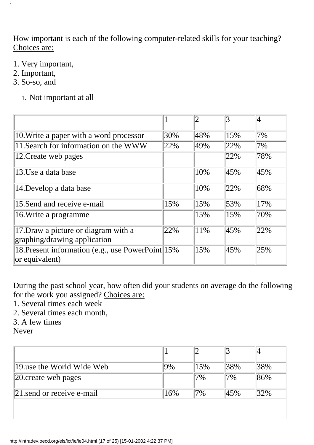How important is each of the following computer-related skills for your teaching? Choices are:

- 1. Very important,
- 2. Important,

1

- 3. So-so, and
	- 1. Not important at all

|                                                                      |     |        | 3   |     |
|----------------------------------------------------------------------|-----|--------|-----|-----|
| 10. Write a paper with a word processor                              | 30% | 48%    | 15% | 7%  |
| 11. Search for information on the WWW                                | 22% | 49%    | 22% | 7%  |
| 12. Create web pages                                                 |     |        | 22% | 78% |
| 13.Use a data base                                                   |     | 10%    | 45% | 45% |
| 14. Develop a data base                                              |     | 10%    | 22% | 68% |
| 15. Send and receive e-mail                                          | 15% | 15%    | 53% | 17% |
| 16. Write a programme                                                |     | 15%    | 15% | 70% |
| 17. Draw a picture or diagram with a<br>graphing/drawing application | 22% | $11\%$ | 45% | 22% |
| 18. Present information (e.g., use PowerPoint 15%)<br>or equivalent) |     | 15%    | 45% | 25% |

During the past school year, how often did your students on average do the following for the work you assigned? Choices are:

1. Several times each week

2. Several times each month,

3. A few times

Never

| 19 use the World Wide Web         | 9%  | 5%    | 38%   | 38% |
|-----------------------------------|-----|-------|-------|-----|
| $ 20$ create web pages            |     | $7\%$ | $7\%$ | 86% |
| $\vert$ 21 send or receive e-mail | 16% | $7\%$ | 45%   | 32% |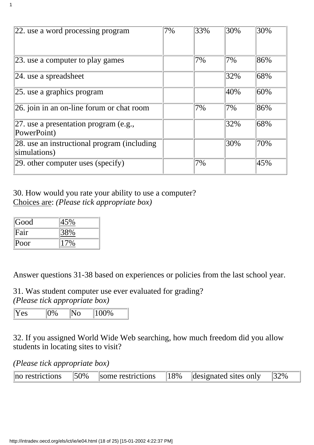| 22. use a word processing program                            | 7% | 33% | 30% | 30% |
|--------------------------------------------------------------|----|-----|-----|-----|
| $ 23$ . use a computer to play games                         |    | 7%  | 7%  | 86% |
| $ 24$ . use a spreadsheet                                    |    |     | 32% | 68% |
| $ 25$ . use a graphics program                               |    |     | 40% | 60% |
| 26. join in an on-line forum or chat room                    |    | 7%  | 7%  | 86% |
| 27. use a presentation program (e.g.,<br>PowerPoint)         |    |     | 32% | 68% |
| 28. use an instructional program (including)<br>simulations) |    |     | 30% | 70% |
| $ 29$ other computer uses (specify)                          |    | 7%  |     | 45% |

30. How would you rate your ability to use a computer? Choices are: *(Please tick appropriate box)*

| Good | 45% |
|------|-----|
| Fair | 38% |
| Poor |     |

1

Answer questions 31-38 based on experiences or policies from the last school year.

31. Was student computer use ever evaluated for grading? *(Please tick appropriate box)*

| - -<br>PS<br>- | $^{10}$<br>ັ<br><u>.</u><br>$\tilde{\phantom{a}}$ |
|----------------|---------------------------------------------------|
|----------------|---------------------------------------------------|

32. If you assigned World Wide Web searching, how much freedom did you allow students in locating sites to visit?

*(Please tick appropriate box)*

| no restrictions | $ 50\%$ | some restrictions $ 18\% $ | designated sites only $ 32\% $ |  |
|-----------------|---------|----------------------------|--------------------------------|--|
|                 |         |                            |                                |  |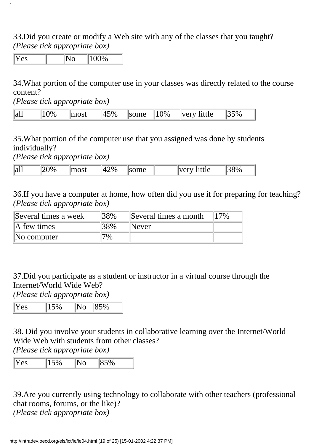33.Did you create or modify a Web site with any of the classes that you taught? *(Please tick appropriate box)*

 $Yes$   $| No 100\%$ 

1

34.What portion of the computer use in your classes was directly related to the course content?

*(Please tick appropriate box)*

35.What portion of the computer use that you assigned was done by students individually?

*(Please tick appropriate box)*

| - -<br>$\ a\ $ | $\frac{10}{6}$<br>$\ddot{\phantom{1}}$ | $\sim$ $\sim$ +<br><b><i><u>ACCOUNT</u></i></b> | $^{\circ}$ $_{\circ}$<br>$\Delta$<br>∕∪ | $\mathbf m$<br>$\blacksquare$<br>________ | $T = 10T$<br>ำtti∆<br>ししょし<br>.<br>$\sim$ | $9\%$ |
|----------------|----------------------------------------|-------------------------------------------------|-----------------------------------------|-------------------------------------------|-------------------------------------------|-------|
|----------------|----------------------------------------|-------------------------------------------------|-----------------------------------------|-------------------------------------------|-------------------------------------------|-------|

36.If you have a computer at home, how often did you use it for preparing for teaching? *(Please tick appropriate box)*

| Several times a week    | 38% | Several times a month | 17% |
|-------------------------|-----|-----------------------|-----|
| $\mathbb{A}$ few times  | 38% | Never                 |     |
| $\mathbb{N}$ o computer | 7%  |                       |     |

37.Did you participate as a student or instructor in a virtual course through the Internet/World Wide Web?

*(Please tick appropriate box)*

38. Did you involve your students in collaborative learning over the Internet/World Wide Web with students from other classes?

*(Please tick appropriate box)*

| "<br>∽<br>– |  |
|-------------|--|
|-------------|--|

39.Are you currently using technology to collaborate with other teachers (professional chat rooms, forums, or the like)?

*(Please tick appropriate box)*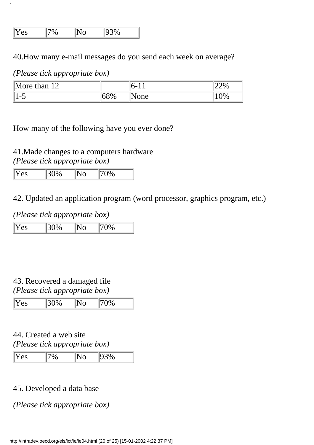| IX.<br>$\sim$ $\sim$<br>es | . . | . . |
|----------------------------|-----|-----|
|                            |     |     |

40.How many e-mail messages do you send each week on average?

### *(Please tick appropriate box)*

1

| $\Delta$ More than<br>$1^{\wedge}$<br>12 |     | ın- | LLY0  |
|------------------------------------------|-----|-----|-------|
| $\sim$<br>$\sim$                         | 68% | one | $U\%$ |

## How many of the following have you ever done?

41. Made changes to a computer s hardware *(Please tick appropriate box)*

| Yes | $\frac{130\%}{ }$ | $\mathbb{I}^{\mathsf{U}}$ No | $170\%$ |
|-----|-------------------|------------------------------|---------|
|     |                   |                              |         |

42. Updated an application program (word processor, graphics program, etc.)

### *(Please tick appropriate box)*

| Yes | 30% | $ {\rm No}$ | $\frac{170\%}{ }$ |
|-----|-----|-------------|-------------------|
|     |     |             |                   |

## 43. Recovered a damaged file

*(Please tick appropriate box)*

| Yes | 30% | No | $\ 70\%$ |
|-----|-----|----|----------|
|     |     |    |          |

### 44. Created a web site *(Please tick appropriate box)*

| Yes |  | 1020<br>$70^{\circ}$ |
|-----|--|----------------------|
|     |  |                      |

### 45. Developed a data base

### *(Please tick appropriate box)*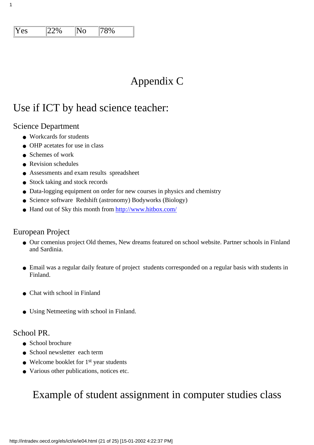| Yes | 22% | $ {\rm No}$ | 78% |
|-----|-----|-------------|-----|
|     |     |             |     |

## Appendix C

## Use if ICT by head science teacher:

### Science Department

1

- Workcards for students
- OHP acetates for use in class
- Schemes of work
- Revision schedules
- Assessments and exam results spreadsheet
- Stock taking and stock records
- Data-logging equipment on order for new courses in physics and chemistry
- Science software Redshift (astronomy) Bodyworks (Biology)
- Hand out of Sky this month from<http://www.hitbox.com/>

### European Project

- Our comenius project Old themes, New dreams featured on school website. Partner schools in Finland and Sardinia.
- Email was a regular daily feature of project students corresponded on a regular basis with students in Finland.
- Chat with school in Finland
- Using Netmeeting with school in Finland.

### School PR.

- School brochure
- School newsletter each term
- $\bullet$  Welcome booklet for 1<sup>st</sup> year students
- Various other publications, notices etc.

## Example of student assignment in computer studies class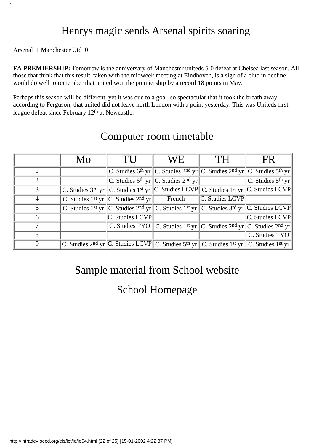## Henrys magic sends Arsenal spirits soaring

### Arsenal 1 Manchester Utd 0

1

**FA PREMIERSHIP:** Tomorrow is the anniversary of Manchester united s 5-0 defeat at Chelsea last season. All those that think that this result, taken with the midweek meeting at Eindhoven, is a sign of a club in decline would do well to remember that united won the premiership by a record 18 points in May.

Perhaps this season will be different, yet it was due to a goal, so spectacular that it took the breath away according to Ferguson, that united did not leave north London with a point yesterday. This was United s first league defeat since February 12th at Newcastle.

|               | Mo                                                                                                                                      | TU                                                          | WE.                                                                                                                                     | TH                   | FR.                 |
|---------------|-----------------------------------------------------------------------------------------------------------------------------------------|-------------------------------------------------------------|-----------------------------------------------------------------------------------------------------------------------------------------|----------------------|---------------------|
|               |                                                                                                                                         |                                                             | C. Studies 6 <sup>th</sup> yr C. Studies 2 <sup>nd</sup> yr C. Studies 2 <sup>nd</sup> yr C. Studies 5 <sup>th</sup> yr                 |                      |                     |
| 2             |                                                                                                                                         |                                                             | C. Studies 6 <sup>th</sup> yr C. Studies 2 <sup>nd</sup> yr                                                                             |                      | C. Studies $5th$ yr |
| $\mathcal{F}$ |                                                                                                                                         |                                                             | C. Studies 3rd yr C. Studies 1st yr C. Studies LCVP C. Studies 1st yr C. Studies LCVP                                                   |                      |                     |
| 4             |                                                                                                                                         | C. Studies 1 <sup>st</sup> yr C. Studies 2 <sup>nd</sup> yr | French                                                                                                                                  | $ C.$ Studies $LCVP$ |                     |
| 5.            |                                                                                                                                         |                                                             | C. Studies 1 <sup>st</sup> yr C. Studies 2 <sup>nd</sup> yr C. Studies 1 <sup>st</sup> yr C. Studies 3 <sup>rd</sup> yr C. Studies LCVP |                      |                     |
| 6             |                                                                                                                                         | C. Studies LCVP                                             |                                                                                                                                         |                      | C. Studies LCVP     |
|               |                                                                                                                                         |                                                             | C. Studies TYO C. Studies 1 <sup>st</sup> yr C. Studies 2 <sup>nd</sup> yr C. Studies 2 <sup>nd</sup> yr                                |                      |                     |
| 8             |                                                                                                                                         |                                                             |                                                                                                                                         |                      | C. Studies TYO      |
| 9             | C. Studies 2 <sup>nd</sup> yr C. Studies LCVP C. Studies 5 <sup>th</sup> yr C. Studies 1 <sup>st</sup> yr C. Studies 1 <sup>st</sup> yr |                                                             |                                                                                                                                         |                      |                     |

## Computer room timetable

## Sample material from School website

## School Homepage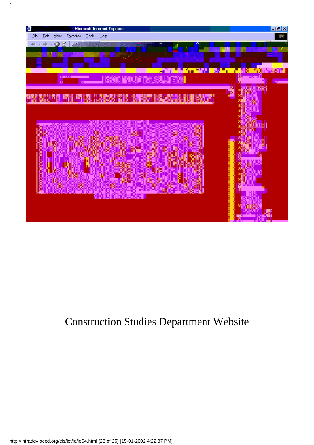

# Construction Studies Department Website

1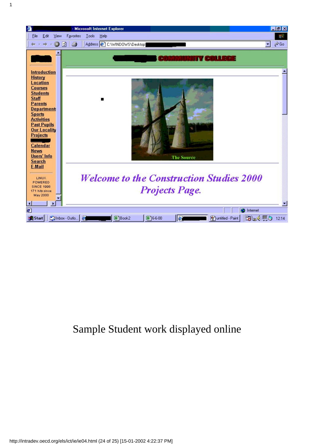

## Sample Student work displayed online

1